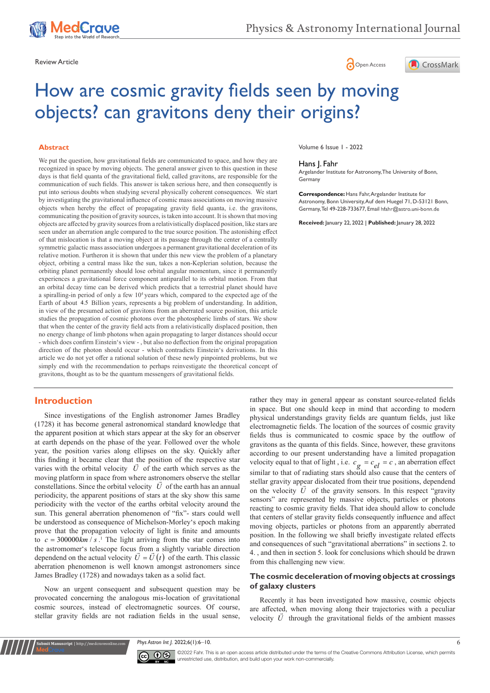





# How are cosmic gravity fields seen by moving objects? can gravitons deny their origins?

### **Abstract**

We put the question, how gravitational fields are communicated to space, and how they are recognized in space by moving objects. The general answer given to this question in these days is that field quanta of the gravitational field, called gravitons, are responsible for the communication of such fields. This answer is taken serious here, and then consequently is put into serious doubts when studying several physically coherent consequences. We start by investigating the gravitational influence of cosmic mass associations on moving massive objects when hereby the effect of propagating gravity field quanta, i.e. the gravitons, communicating the position of gravity sources, is taken into account. It is shown that moving objects are affected by gravity sources from a relativistically displaced position, like stars are seen under an aberration angle compared to the true source position. The astonishing effect of that mislocation is that a moving object at its passage through the center of a centrally symmetric galactic mass association undergoes a permanent gravitational deceleration of its relative motion. Furtheron it is shown that under this new view the problem of a planetary object, orbiting a central mass like the sun, takes a non-Keplerian solution, because the orbiting planet permanently should lose orbital angular momentum, since it permanently experiences a gravitational force component antiparallel to its orbital motion. From that an orbital decay time can be derived which predicts that a terrestrial planet should have a spiralling-in period of only a few 10<sup>4</sup> years which, compared to the expected age of the Earth of about 4.5 Billion years, represents a big problem of understanding. In addition, in view of the presumed action of gravitons from an aberrated source position, this article studies the propagation of cosmic photons over the photospheric limbs of stars. We show that when the center of the gravity field acts from a relativistically displaced position, then no energy change of limb photons when again propagating to larger distances should occur - which does confirm Einstein's view - , but also no deflection from the original propagation direction of the photon should occur - which contradicts Einstein's derivations. In this article we do not yet offer a rational solution of these newly pinpointed problems, but we simply end with the recommendation to perhaps reinvestigate the theoretical concept of gravitons, thought as to be the quantum messengers of gravitational fields.

## **Introduction**

Since investigations of the English astronomer James Bradley (1728) it has become general astronomical standard knowledge that the apparent position at which stars appear at the sky for an observer at earth depends on the phase of the year. Followed over the whole year, the position varies along ellipses on the sky. Quickly after this finding it became clear that the position of the respective star varies with the orbital velocity  $U$  of the earth which serves as the moving platform in space from where astronomers observe the stellar constellations. Since the orbital velocity  $U$  of the earth has an annual periodicity, the apparent positions of stars at the sky show this same periodicity with the vector of the earths orbital velocity around the sun. This general aberration phenomenon of "fix"- stars could well be understood as consequence of Michelson-Morley's epoch making prove that the propagation velocity of light is finite and amounts to  $c = 300000 km / s$ .<sup>1</sup> The light arriving from the star comes into the astromomer's telescope focus from a slightly variable direction dependend on the actual velocity  $\vec{U} = \vec{U}(t)$  of the earth. This classic aberration phenomenon is well known amongst astronomers since James Bradley (1728) and nowadays taken as a solid fact.

Now an urgent consequent and subsequent question may be provocated concerning the analogous mis-location of gravitational cosmic sources, instead of electromagnetic sources. Of course, stellar gravity fields are not radiation fields in the usual sense,

**Krit Manuscript** | http://medcraveonline.c

Volume 6 Issue 1 - 2022

### Hans J. Fahr

Argelander Institute for Astronomy, The University of Bonn, **Germany** 

**Correspondence:** Hans Fahr, Argelander Institute for Astronomy, Bonn University, Auf dem Huegel 71, D-53121 Bonn, Germany, Tel 49-228-733677, Email hfahr@astro.uni-bonn.de

**Received:** January 22, 2022 | **Published:** January 28, 2022

rather they may in general appear as constant source-related fields in space. But one should keep in mind that according to modern physical understandings gravity fields are quantum fields, just like electromagnetic fields. The location of the sources of cosmic gravity fields thus is communicated to cosmic space by the outflow of gravitons as the quanta of this fields. Since, however, these gravitons according to our present understanding have a limited propagation velocity equal to that of light , i.e.  $c_g = c_{el} = c$ , an aberration effect similar to that of radiating stars should also cause that the centers of stellar gravity appear dislocated from their true positions, dependend on the velocity  $U$  of the gravity sensors. In this respect "gravity sensors" are represented by massive objects, particles or photons reacting to cosmic gravity fields. That idea should allow to conclude that centers of stellar gravity fields consequently influence and affect moving objects, particles or photons from an apparently aberrated position. In the following we shall briefly investigate related effects and consequences of such "gravitational aberrations" in sections 2. to 4. , and then in section 5. look for conclusions which should be drawn from this challenging new view.

## **The cosmic deceleration of moving objects at crossings of galaxy clusters**

Recently it has been investigated how massive, cosmic objects are affected, when moving along their trajectories with a peculiar velocity *U* through the gravitational fields of the ambient masses

*Phys Astron Int J.* 2022;6(1):6‒10. 6



©2022 Fahr. This is an open access article distributed under the terms of the [Creative Commons Attribution License,](https://creativecommons.org/licenses/by-nc/4.0/) which permits unrestricted use, distribution, and build upon your work non-commercially.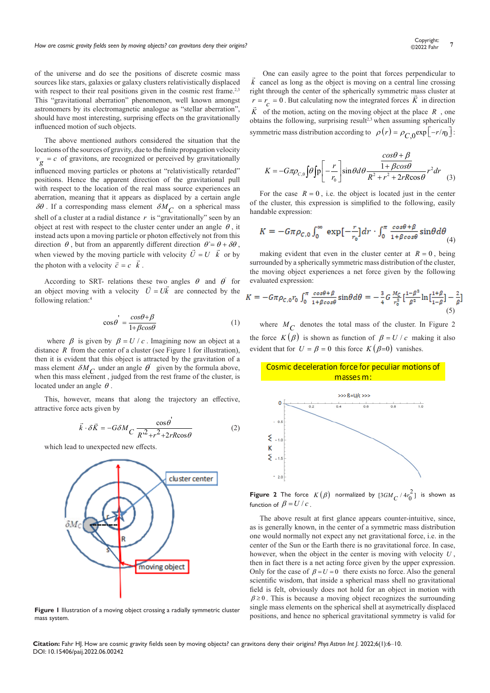of the universe and do see the positions of discrete cosmic mass sources like stars, galaxies or galaxy clusters relativistically displaced with respect to their real positions given in the cosmic rest frame.<sup>2,3</sup> This "gravitational aberration" phenomenon, well known amongst astronomers by its electromagnetic analogue as "stellar aberration", should have most interesting, surprising effects on the gravitationally influenced motion of such objects.

The above mentioned authors considered the situation that the locations of the sources of gravity, due to the finite propagation velocity  $v_g = c$  of gravitons, are recognized or perceived by gravitationally influenced moving particles or photons at "relativistically retarded" positions. Hence the apparent direction of the gravitational pull with respect to the location of the real mass source experiences an aberration, meaning that it appears as displaced by a certain angle  $\delta\theta$ . If a corresponding mass element  $\delta M_C$  on a spherical mass shell of a cluster at a radial distance  $r$  is "gravitationally" seen by an object at rest with respect to the cluster center under an angle  $\theta$ , it instead acts upon a moving particle or photon effectively not from this direction  $\theta$ , but from an apparently different direction  $\theta = \theta + \delta \theta$ , when viewed by the moving particle with velocity  $\vec{U} = U \vec{k}$  or by the photon with a velocity  $\vec{c} = c \vec{k}$ .

According to SRT- relations these two angles  $\theta$  and  $\theta$  for an object moving with a velocity  $U = Uk$  are connected by the following relation:4

$$
\cos \theta^{'} = \frac{\cos \theta + \beta}{1 + \beta \cos \theta} \tag{1}
$$

where  $\beta$  is given by  $\beta = U/c$ . Imagining now an object at a distance *R* from the center of a cluster (see Figure 1 for illustration), then it is evident that this object is attracted by the gravitation of a mass element  $\delta M_C$  under an angle  $\theta'$  given by the formula above, when this mass element, judged from the rest frame of the cluster, is located under an angle  $\theta$ .

This, however, means that along the trajectory an effective, attractive force acts given by

$$
\vec{k} \cdot \delta \vec{K} = -G \delta M \frac{\cos \theta}{R^2 + r^2 + 2rR \cos \theta} \tag{2}
$$

which lead to unexpected new effects.



**Figure 1** Illustration of a moving object crossing a radially symmetric cluster mass system.

 One can easily agree to the point that forces perpendicular to *k*  $\overline{1}$  cancel as long as the object is moving on a central line crossing right through the center of the spherically symmetric mass cluster at  $r = r_c = 0$ . But calculating now the integrated forces *K* in direction *K* of the motion, acting on the moving object at the place *R* , one obtains the following, surprising result<sup>2,3</sup> when assuming spherically symmetric mass distribution according to  $\rho(r) = \rho_c \exp[-r/r_0]$ :

$$
K = -G\pi\rho_{C,0}\int\theta\int\left[\rho - \frac{r}{r_0}\right]\sin\theta d\theta \frac{\frac{\cos\theta + \beta}{1 + \beta\cos\theta}}{R^2 + r^2 + 2rR\cos\theta}r^2dr
$$
 (3)

For the case  $R = 0$ , i.e. the object is located just in the center of the cluster, this expression is simplified to the following, easily handable expression:

$$
K = -G\pi \rho_{C,0} \int_0^\infty \exp\left[-\frac{r}{r_0}\right] dr \cdot \int_0^\pi \frac{\cos\theta + \beta}{1 + \beta \cos\theta} \sin\theta d\theta \tag{4}
$$

making evident that even in the cluster center at  $R = 0$ , being surrounded by a spherically symmetric mass distribution of the cluster, the moving object experiences a net force given by the following evaluated expression:

$$
K = -G\pi\rho_{c,0}r_0 \int_0^\pi \frac{\cos\theta + \beta}{1 + \beta\cos\theta} \sin\theta d\theta = -\frac{3}{4}G\frac{M_c}{r_0^2} \left[\frac{1 - \beta^2}{\beta^2} \ln\left[\frac{1 + \beta}{1 - \beta}\right] - \frac{2}{\beta}\right]
$$
(5)

where  $M_C$  denotes the total mass of the cluster. In Figure 2 the force  $K(\beta)$  is shown as function of  $\beta = U/c$  making it also evident that for  $U = \beta = 0$  this force  $K(\beta=0)$  vanishes.





**Figure 2** The force  $K(\beta)$  normalized by  $[3GM_C/4r_0^2]$  is shown as function of  $\beta = U/c$ .

The above result at first glance appears counter-intuitive, since, as is generally known, in the center of a symmetric mass distribution one would normally not expect any net gravitational force, i.e. in the center of the Sun or the Earth there is no gravitational force. In case, however, when the object in the center is moving with velocity *U* , then in fact there is a net acting force given by the upper expression. Only for the case of  $\beta = U = 0$  there exists no force. Also the general scientific wisdom, that inside a spherical mass shell no gravitational field is felt, obviously does not hold for an object in motion with  $\beta \ge 0$ . This is because a moving object recognizes the surrounding single mass elements on the spherical shell at asymetrically displaced positions, and hence no spherical gravitational symmetry is valid for

**Citation:** Fahr HJ. How are cosmic gravity fields seen by moving objects? can gravitons deny their origins? *Phys Astron Int J.* 2022;6(1):6‒10. DOI: [10.15406/paij.2022.06.00242](https://doi.org/10.15406/paij.2022.06.00242)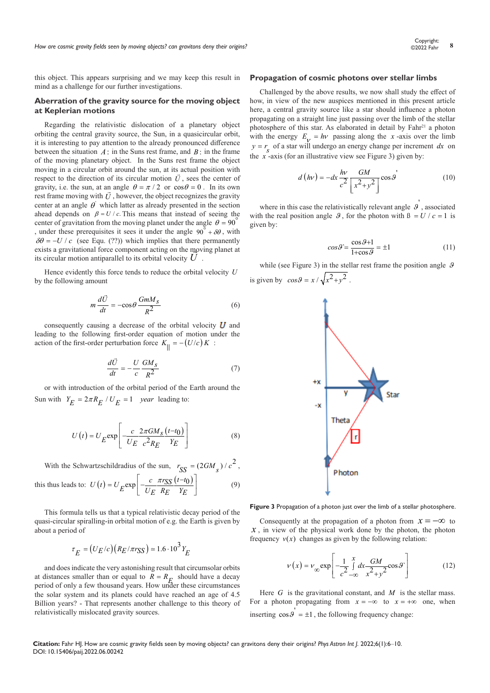this object. This appears surprising and we may keep this result in mind as a challenge for our further investigations.

## **Aberration of the gravity source for the moving object at Keplerian motions**

Regarding the relativistic dislocation of a planetary object orbiting the central gravity source, the Sun, in a quasicircular orbit, it is interesting to pay attention to the already pronounced difference between the situation  $A$ : in the Suns rest frame, and  $B$ : in the frame of the moving planetary object. In the Suns rest frame the object moving in a circular orbit around the sun, at its actual position with respect to the direction of its circular motion  $\vec{U}$ , sees the center of gravity, i.e. the sun, at an angle  $\theta = \pi/2$  or  $\cos \theta = 0$ . In its own gravity, i.e. the sun, at an angle  $\theta = \pi / 2$  or  $\cos \theta = 0$ . In its own rest frame moving with  $\vec{U}$ , however, the object recognizes the gravity center at an angle  $\theta'$  which latter as already presented in the section ahead depends on  $\beta = U/c$ . This means that instead of seeing the center of gravitation from the moving planet under the angle  $\theta = 90^\circ$ , under these prerequisites it sees it under the angle  $90^\circ + \delta\theta$ , with  $\delta\theta = -U/c$  (see Equ. (??)) which implies that there permanently exists a gravitational force component acting on the moving planet at its circular motion antiparallel to its orbital velocity  $U$  .

Hence evidently this force tends to reduce the orbital velocity *U* by the following amount

$$
m\frac{d\vec{U}}{dt} = -\cos\theta \frac{GmM_S}{R^2}
$$
 (6)

consequently causing a decrease of the orbital velocity  $\boldsymbol{U}$  and leading to the following first-order equation of motion under the action of the first-order perturbation force  $K_{\parallel} = -(U/c)K$ :

$$
\frac{d\vec{U}}{dt} = -\frac{U}{c}\frac{GM_s}{R^2} \tag{7}
$$

or with introduction of the orbital period of the Earth around the Sun with  $Y_E = 2\pi R_E / U_E = 1$  *year* leading to:

$$
U(t) = U_E \exp\left[-\frac{c}{U_E} \frac{2\pi GM_S (t - t_0)}{c^2 R_E Y_E}\right]
$$
(8)

With the Schwartzschildradius of the sun,  $r_{SS} = (2GM_s) / c^2$ ,

this thus leads to: 
$$
U(t) = U_E \exp\left[-\frac{c \pi r_{SS}(t-t_0)}{U_E R_E Y_E}\right]
$$
 (9)

This formula tells us that a typical relativistic decay period of the quasi-circular spiralling-in orbital motion of e.g. the Earth is given by about a period of

$$
\tau_E = (U_E/c)(R_E/\pi r_{SS}) \approx 1.6 \cdot 10^3 Y_E
$$

and does indicate the very astonishing result that circumsolar orbits at distances smaller than or equal to  $R = R_E$  should have a decay period of only a few thousand years. How under these circumstances the solar system and its planets could have reached an age of 4.5 Billion years? - That represents another challenge to this theory of relativistically mislocated gravity sources.

## **Propagation of cosmic photons over stellar limbs**

Challenged by the above results, we now shall study the effect of how, in view of the new auspices mentioned in this present article here, a central gravity source like a star should influence a photon propagating on a straight line just passing over the limb of the stellar photosphere of this star. As elaborated in detail by Fahr<sup>21</sup> a photon with the energy  $E_V = hv$  passing along the *x*-axis over the limb  $y = r<sub>e</sub>$  of a star will undergo an energy change per increment *dx* on the  $x$ <sup>-</sup>axis (for an illustrative view see Figure 3) given by:

$$
d\left(h\nu\right) = -dx\frac{h\nu}{c^2} \frac{GM}{\left[x^2 + y^2\right]} \cos\theta\tag{10}
$$

where in this case the relativistically relevant angle  $\theta$ , associated with the real position angle  $\theta$ , for the photon with  $\beta = U / c = 1$  is given by:

$$
cos\theta = \frac{\cos\theta + 1}{1 + \cos\theta} = \pm 1
$$
\n(11)

while (see Figure 3) in the stellar rest frame the position angle  $\theta$ is given by  $\cos \theta = x / \sqrt{x^2 + y^2}$ .



**Figure 3** Propagation of a photon just over the limb of a stellar photosphere.

Consequently at the propagation of a photon from  $x = -\infty$  to  $x$ , in view of the physical work done by the photon, the photon frequency  $v(x)$  changes as given by the following relation:

$$
v(x) = v_{\infty} \exp\left[-\frac{1}{c^2} \int_{-\infty}^{x} dx \frac{GM}{x^2 + y^2} \cos \theta^2\right]
$$
 (12)

Here  $G$  is the gravitational constant, and  $M$  is the stellar mass. For a photon propagating from  $x = -\infty$  to  $x = +\infty$  one, when inserting  $\cos \theta = \pm 1$ , the following frequency change:

**Citation:** Fahr HJ. How are cosmic gravity fields seen by moving objects? can gravitons deny their origins? *Phys Astron Int J.* 2022;6(1):6‒10. DOI: [10.15406/paij.2022.06.00242](https://doi.org/10.15406/paij.2022.06.00242)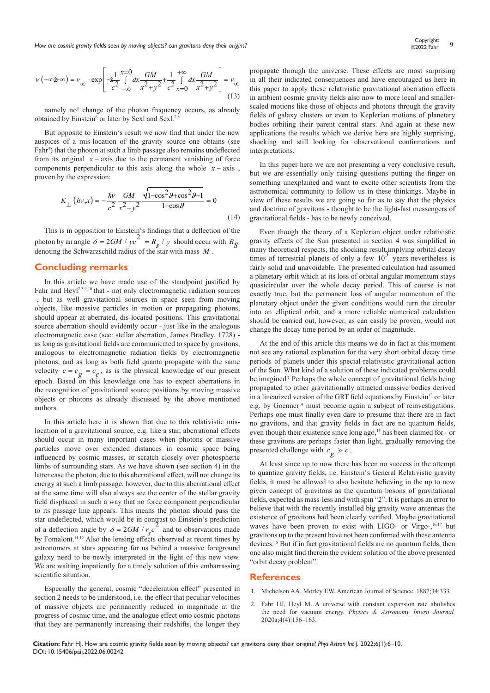*How are cosmic gravity fields seen by moving objects? can gravitons deny their origins?* **9** Contemporary *9* Copyright: 9 Copyright: 9 Copyright: 9 Copyright: 9 Copyright: 9 Copyright: 9 Copyright: 9 Copyright: 9 Copyrig

$$
v(-\infty \sharp +\infty) = v_{\infty} \cdot \exp\left[-\frac{1}{2} \int_{-1}^{1} \frac{x-0}{x^2+y^2} dx - \frac{GM}{2} \int_{-1}^{1} \frac{x}{y} dx - \frac{GM}{2} \int_{1}^{1} dx \right] = v_{\infty}
$$
\n(13)

namely no! change of the photon frequency occurs, as already obtained by Einstein<sup>6</sup> or later by Sexl and Sexl.<sup>7,8</sup>

But opposite to Einstein's result we now find that under the new auspices of a mis-location of the gravity source one obtains (see Fahr<sup>5</sup>) that the photon at such a limb passage also remains undeflected from its original  $x - axis$  due to the permanent vanishing of force components perpendicular to this axis along the whole  $x - axis$ , proven by the expression:

$$
K_{\perp}(\hbar v, x) = -\frac{h v}{c^2} \frac{GM}{x^2 + y^2} \frac{\sqrt{1 - \cos^2 \theta + \cos^2 \theta - 1}}{1 + \cos \theta} = 0
$$
\n(14)

This is in opposition to Einstein's findings that a deflection of the this is in opposition to Liberty 2 interest-<br>photon by an angle  $\delta = 2GM / yc^2 = R_g / y$  should occur with  $R_S$ denoting the Schwarzschild radius of the star with mass *M* .

# **Concluding remarks**

In this article we have made use of the standpoint justified by Fahr and Heyl<sup>2,3,9,10</sup> that - not only electromagnetic radiation sources -, but as well gravitational sources in space seen from moving objects, like massive particles in motion or propagating photons, should appear at aberrated, dis-located positions. This gravitational source aberration should evidently occur - just like in the analogous electromagnetic case (see: stellar aberration, James Bradley, 1728) as long as gravitational fields are communicated to space by gravitons, analogous to electromagnetic radiation fields by electromagnetic photons, and as long as both field quanta propagate with the same velocity  $c = c_g = c_e$ , as is the physical knowledge of our present epoch. Based on this knowledge one has to expect aberrations in the recognition of gravitational source positions by moving massive objects or photons as already discussed by the above mentioned authors.

In this article here it is shown that due to this relativistic mislocation of a gravitational source, e.g. like a star, aberrational effects should occur in many important cases when photons or massive particles move over extended distances in cosmic space being influenced by cosmic masses, or scratch closely over photospheric limbs of surrounding stars. As we have shown (see section 4) in the latter case the photon, due to this aberrational effect, will not change its energy at such a limb passage, however, due to this aberrational effect at the same time will also always see the center of the stellar gravity field displaced in such a way that no force component perpendicular to its passage line appears. This means the photon should pass the star undeflected, which would be in contrast to Einstein's prediction of a deflection angle by  $\delta = 2GM / r_{\rm g}c^2$  and to observations made by Fomalont.11,12 Also the lensing effects observed at recent times by astronomers at stars appearing for us behind a massive foreground galaxy need to be newly interpreted in the light of this new view. We are waiting impatiently for a timely solution of this embarrassing scientific situation.

Especially the general, cosmic "deceleration effect" presented in section 2 needs to be understood, i.e. the effect that peculiar velocities of massive objects are permanently reduced in magnitude at the progress of cosmic time, and the analogue effect onto cosmic photons that they are permanently increasing their redshifts, the longer they

propagate through the universe. These effects are most surprising in all their indicated consequences and have encouraged us here in this paper to apply these relativistic gravitational aberration effects in ambient cosmic gravity fields also now to more local and smallerscaled motions like those of objects and photons through the gravity fields of galaxy clusters or even to Keplerian motions of planetary bodies orbiting their parent central stars. And again at these new applications the results which we derive here are highly surprising, shocking and still looking for observational confirmations and interpretations.

In this paper here we are not presenting a very conclusive result, but we are essentially only raising questions putting the finger on something unexplained and want to excite other scientists from the astronomical community to follow us in these thinkings. Maybe in view of these results we are going so far as to say that the physics and doctrine of gravitons - thought to be the light-fast messengers of gravitational fields - has to be newly conceived.

Even though the theory of a Keplerian object under relativistic gravity effects of the Sun presented in section 4 was simplified in many theoretical respects, the shocking result, implying orbital decay times of terrestrial planets of only a few  $10<sup>3</sup>$  years nevertheless is fairly solid and unavoidable. The presented calculation had assumed a planetary orbit which at its loss of orbital angular momentum stays quasicircular over the whole decay period. This of course is not exactly true, but the permanent loss of angular momentum of the planetary object under the given conditions would turn the circular into an elliptical orbit, and a more reliable numerical calculation should be carried out, however, as can easily be proven, would not change the decay time period by an order of magnitude.

At the end of this article this means we do in fact at this moment not see any rational explanation for the very short orbital decay time periods of planets under this special-relativistic gravitational action of the Sun. What kind of a solution of these indicated problems could be imagined? Perhaps the whole concept of gravitational fields being propagated to other gravitationally attracted massive bodies derived in a linearized version of the GRT field equations by Einstein<sup>13</sup> or later e.g. by Goenner<sup>14</sup> must become again a subject of reinvestigations. Perhaps one must finally even dare to presume that there are in fact no gravitons, and that gravity fields in fact are no quantum fields, even though their existence since long ago,<sup>15</sup> has been claimed for - or these gravitons are perhaps faster than light, gradually removing the presented challenge with  $c_g > c$ .

At least since up to now there has been no success in the attempt to quantize gravity fields, i.e. Einstein's General Relativistic gravity fields, it must be allowed to also hesitate believing in the up to now given concept of gravitons as the quantum bosons of gravitational fields, expected as mass-less and with spin "2". It is perhaps an error to believe that with the recently installed big gravity wave antennas the existence of gravitons had been clearly verified. Maybe gravitational waves have been proven to exist with LIGO- or Virgo-,<sup>16,17</sup> but gravitons up to the present have not been confirmed with these antenna devices.18 But if in fact gravitational fields are no quantum fields, then one also might find therein the evident solution of the above presented "orbit decay problem".

### **References**

- 1. Michelson AA, Morley EW. American Journal of Science. 1887;34:333.
- Fahr HJ, Heyl M. A universe with constant expansion rate abolishes the need for vacuum energy. *Physics & Astronomy Intern Journal.* 2020a;4(4):156‒163.